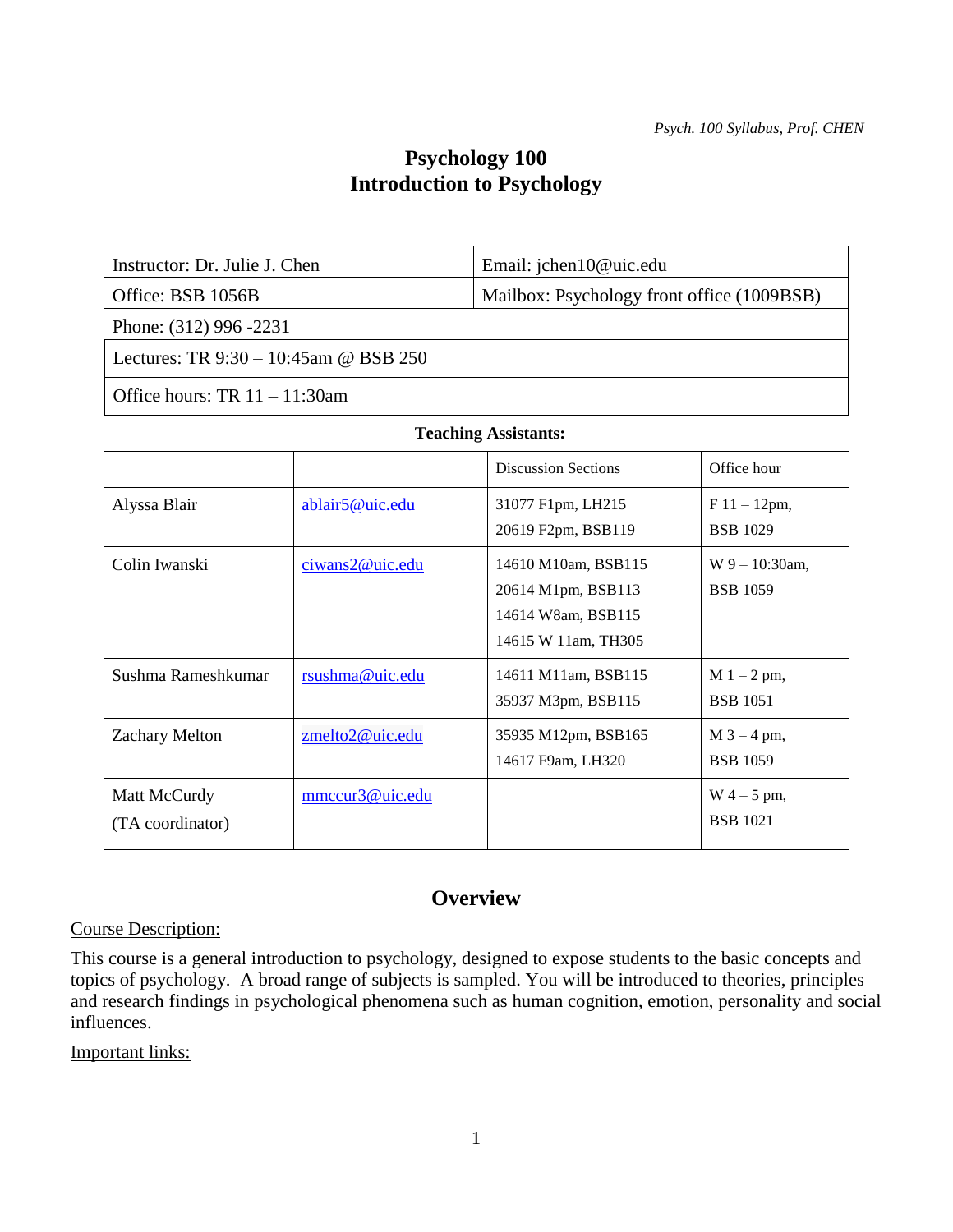# **Psychology 100 Introduction to Psychology**

Instructor: Dr. Julie J. Chen Email: jchen10@uic.edu

Office: BSB 1056B Mailbox: Psychology front office (1009BSB)

Phone: (312) 996 -2231

Lectures: TR 9:30 – 10:45am @ BSB 250

Office hours: TR 11 – 11:30am

|                                  |                 | <b>Discussion Sections</b>                                                             | Office hour                          |
|----------------------------------|-----------------|----------------------------------------------------------------------------------------|--------------------------------------|
| Alyssa Blair                     | ablair5@uic.edu | 31077 F1pm, LH215<br>20619 F2pm, BSB119                                                | $F11 - 12pm,$<br><b>BSB</b> 1029     |
| Colin Iwanski                    | ciwans2@uic.edu | 14610 M10am, BSB115<br>20614 M1pm, BSB113<br>14614 W8am, BSB115<br>14615 W 11am, TH305 | $W_9 - 10:30$ am,<br><b>BSB</b> 1059 |
| Sushma Rameshkumar               | rsushma@uic.edu | 14611 M11am, BSB115<br>35937 M3pm, BSB115                                              | $M_1 - 2$ pm,<br><b>BSB</b> 1051     |
| <b>Zachary Melton</b>            | zmelto2@uic.edu | 35935 M12pm, BSB165<br>14617 F9am, LH320                                               | $M$ 3 – 4 pm,<br><b>BSB</b> 1059     |
| Matt McCurdy<br>(TA coordinator) | mmccur3@uic.edu |                                                                                        | $W_4 - 5$ pm,<br><b>BSB</b> 1021     |

# **Overview**

Course Description:

This course is a general introduction to psychology, designed to expose students to the basic concepts and topics of psychology. A broad range of subjects is sampled. You will be introduced to theories, principles and research findings in psychological phenomena such as human cognition, emotion, personality and social influences.

Important links: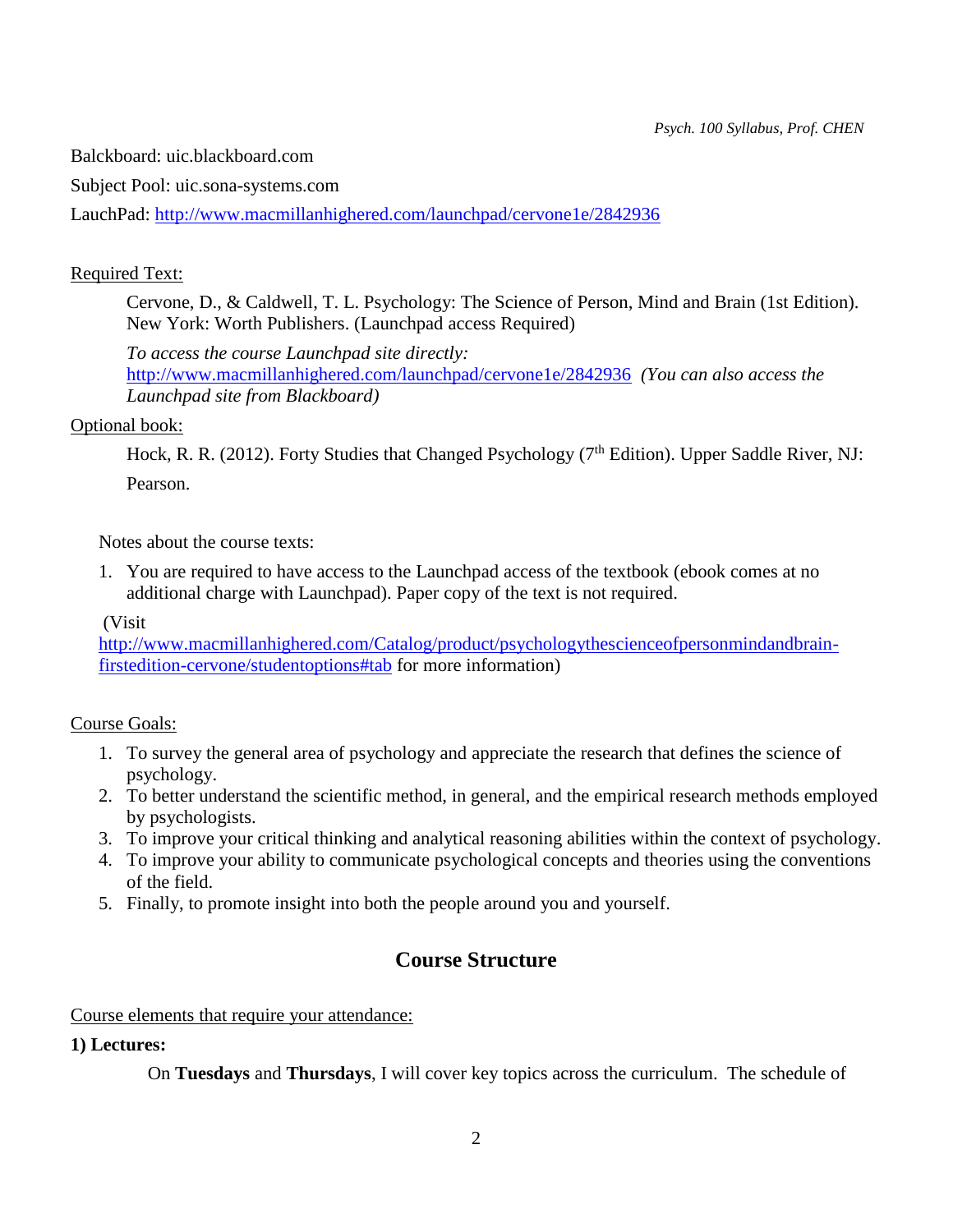Balckboard: uic.blackboard.com

Subject Pool: uic.sona-systems.com

LauchPad:<http://www.macmillanhighered.com/launchpad/cervone1e/2842936>

## Required Text:

Cervone, D., & Caldwell, T. L. Psychology: The Science of Person, Mind and Brain (1st Edition). New York: Worth Publishers. (Launchpad access Required)

*To access the course Launchpad site directly:*  <http://www.macmillanhighered.com/launchpad/cervone1e/2842936> *(You can also access the Launchpad site from Blackboard)*

### Optional book:

Hock, R. R. (2012). Forty Studies that Changed Psychology (7<sup>th</sup> Edition). Upper Saddle River, NJ: Pearson.

Notes about the course texts:

1. You are required to have access to the Launchpad access of the textbook (ebook comes at no additional charge with Launchpad). Paper copy of the text is not required.

(Visit

[http://www.macmillanhighered.com/Catalog/product/psychologythescienceofpersonmindandbrain](http://www.macmillanhighered.com/Catalog/product/psychologythescienceofpersonmindandbrain-firstedition-cervone/studentoptions#tab)[firstedition-cervone/studentoptions#tab](http://www.macmillanhighered.com/Catalog/product/psychologythescienceofpersonmindandbrain-firstedition-cervone/studentoptions#tab) for more information)

### Course Goals:

- 1. To survey the general area of psychology and appreciate the research that defines the science of psychology.
- 2. To better understand the scientific method, in general, and the empirical research methods employed by psychologists.
- 3. To improve your critical thinking and analytical reasoning abilities within the context of psychology.
- 4. To improve your ability to communicate psychological concepts and theories using the conventions of the field.
- 5. Finally, to promote insight into both the people around you and yourself.

# **Course Structure**

### Course elements that require your attendance:

# **1) Lectures:**

On **Tuesdays** and **Thursdays**, I will cover key topics across the curriculum. The schedule of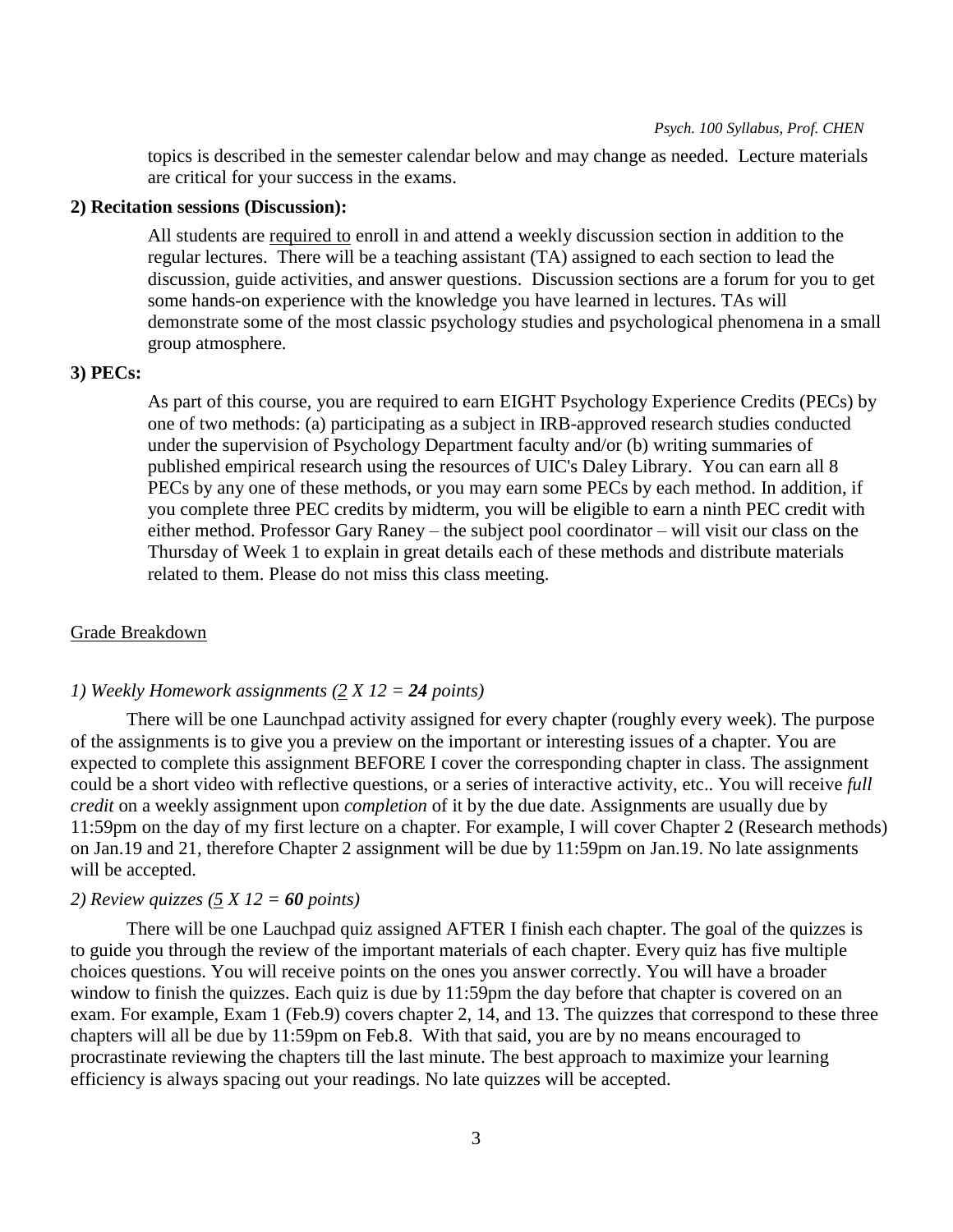topics is described in the semester calendar below and may change as needed. Lecture materials are critical for your success in the exams.

#### **2) Recitation sessions (Discussion):**

All students are required to enroll in and attend a weekly discussion section in addition to the regular lectures. There will be a teaching assistant (TA) assigned to each section to lead the discussion, guide activities, and answer questions. Discussion sections are a forum for you to get some hands-on experience with the knowledge you have learned in lectures. TAs will demonstrate some of the most classic psychology studies and psychological phenomena in a small group atmosphere.

#### **3) PECs:**

As part of this course, you are required to earn EIGHT Psychology Experience Credits (PECs) by one of two methods: (a) participating as a subject in IRB-approved research studies conducted under the supervision of Psychology Department faculty and/or (b) writing summaries of published empirical research using the resources of UIC's Daley Library. You can earn all 8 PECs by any one of these methods, or you may earn some PECs by each method. In addition, if you complete three PEC credits by midterm, you will be eligible to earn a ninth PEC credit with either method. Professor Gary Raney – the subject pool coordinator – will visit our class on the Thursday of Week 1 to explain in great details each of these methods and distribute materials related to them. Please do not miss this class meeting.

#### Grade Breakdown

#### *1) Weekly Homework assignments (2 X 12 = 24 points)*

There will be one Launchpad activity assigned for every chapter (roughly every week). The purpose of the assignments is to give you a preview on the important or interesting issues of a chapter. You are expected to complete this assignment BEFORE I cover the corresponding chapter in class. The assignment could be a short video with reflective questions, or a series of interactive activity, etc.. You will receive *full credit* on a weekly assignment upon *completion* of it by the due date. Assignments are usually due by 11:59pm on the day of my first lecture on a chapter. For example, I will cover Chapter 2 (Research methods) on Jan.19 and 21, therefore Chapter 2 assignment will be due by 11:59pm on Jan.19. No late assignments will be accepted.

#### *2) Review quizzes (5 X 12 = 60 points)*

There will be one Lauchpad quiz assigned AFTER I finish each chapter. The goal of the quizzes is to guide you through the review of the important materials of each chapter. Every quiz has five multiple choices questions. You will receive points on the ones you answer correctly. You will have a broader window to finish the quizzes. Each quiz is due by 11:59pm the day before that chapter is covered on an exam. For example, Exam 1 (Feb.9) covers chapter 2, 14, and 13. The quizzes that correspond to these three chapters will all be due by 11:59pm on Feb.8. With that said, you are by no means encouraged to procrastinate reviewing the chapters till the last minute. The best approach to maximize your learning efficiency is always spacing out your readings. No late quizzes will be accepted.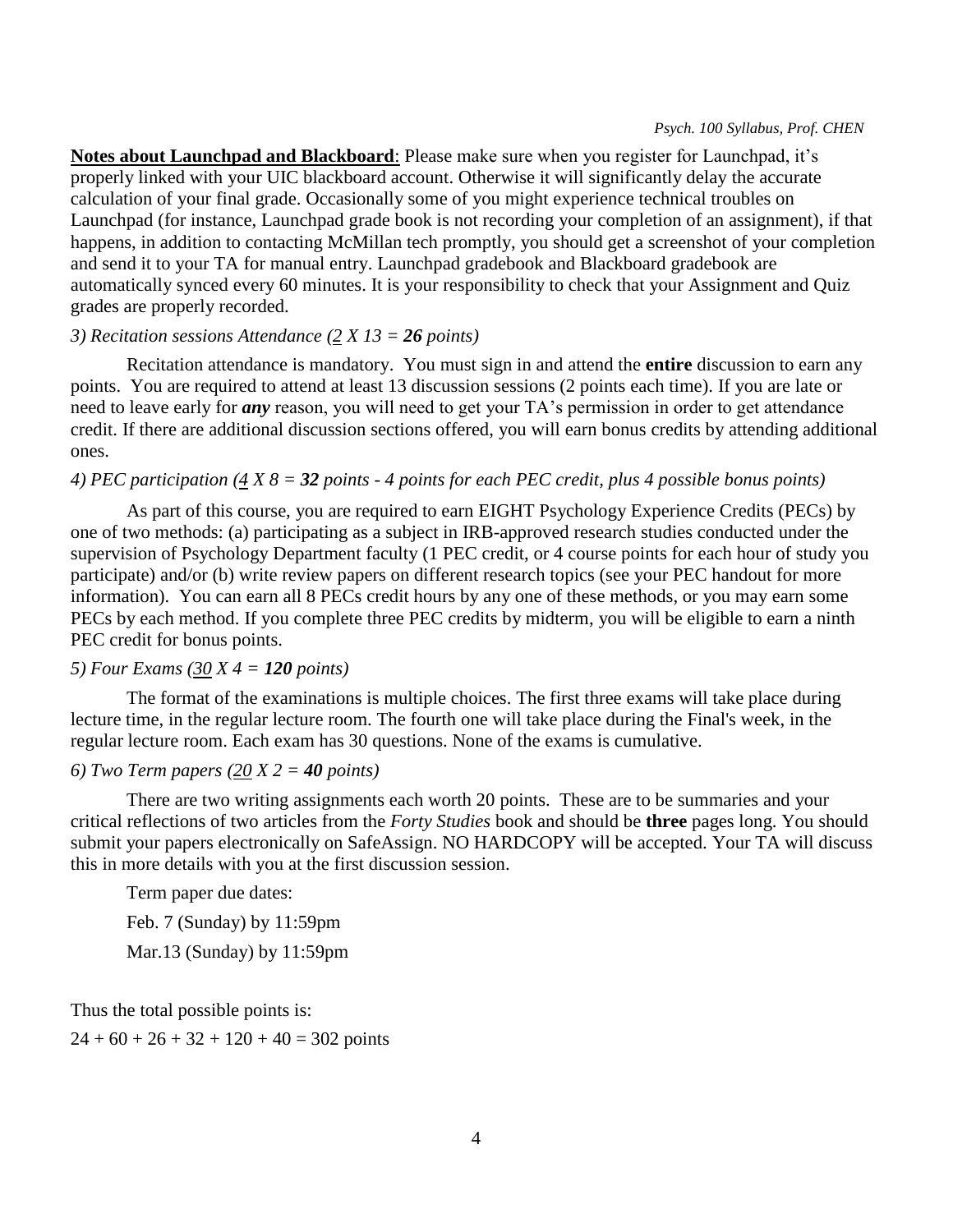**Notes about Launchpad and Blackboard**: Please make sure when you register for Launchpad, it's properly linked with your UIC blackboard account. Otherwise it will significantly delay the accurate calculation of your final grade. Occasionally some of you might experience technical troubles on Launchpad (for instance, Launchpad grade book is not recording your completion of an assignment), if that happens, in addition to contacting McMillan tech promptly, you should get a screenshot of your completion and send it to your TA for manual entry. Launchpad gradebook and Blackboard gradebook are automatically synced every 60 minutes. It is your responsibility to check that your Assignment and Quiz grades are properly recorded.

#### *3) Recitation sessions Attendance (2 X 13 = 26 points)*

Recitation attendance is mandatory. You must sign in and attend the **entire** discussion to earn any points. You are required to attend at least 13 discussion sessions (2 points each time). If you are late or need to leave early for *any* reason, you will need to get your TA's permission in order to get attendance credit. If there are additional discussion sections offered, you will earn bonus credits by attending additional ones.

#### *4) PEC participation (4 X 8 = 32 points - 4 points for each PEC credit, plus 4 possible bonus points)*

As part of this course, you are required to earn EIGHT Psychology Experience Credits (PECs) by one of two methods: (a) participating as a subject in IRB-approved research studies conducted under the supervision of Psychology Department faculty (1 PEC credit, or 4 course points for each hour of study you participate) and/or (b) write review papers on different research topics (see your PEC handout for more information). You can earn all 8 PECs credit hours by any one of these methods, or you may earn some PECs by each method. If you complete three PEC credits by midterm, you will be eligible to earn a ninth PEC credit for bonus points.

### *5) Four Exams (30 X 4 = 120 points)*

The format of the examinations is multiple choices. The first three exams will take place during lecture time, in the regular lecture room. The fourth one will take place during the Final's week, in the regular lecture room. Each exam has 30 questions. None of the exams is cumulative.

### *6) Two Term papers (20 X 2 = 40 points)*

There are two writing assignments each worth 20 points. These are to be summaries and your critical reflections of two articles from the *Forty Studies* book and should be **three** pages long. You should submit your papers electronically on SafeAssign. NO HARDCOPY will be accepted. Your TA will discuss this in more details with you at the first discussion session.

Term paper due dates:

Feb. 7 (Sunday) by 11:59pm

Mar.13 (Sunday) by 11:59pm

Thus the total possible points is:

 $24 + 60 + 26 + 32 + 120 + 40 = 302$  points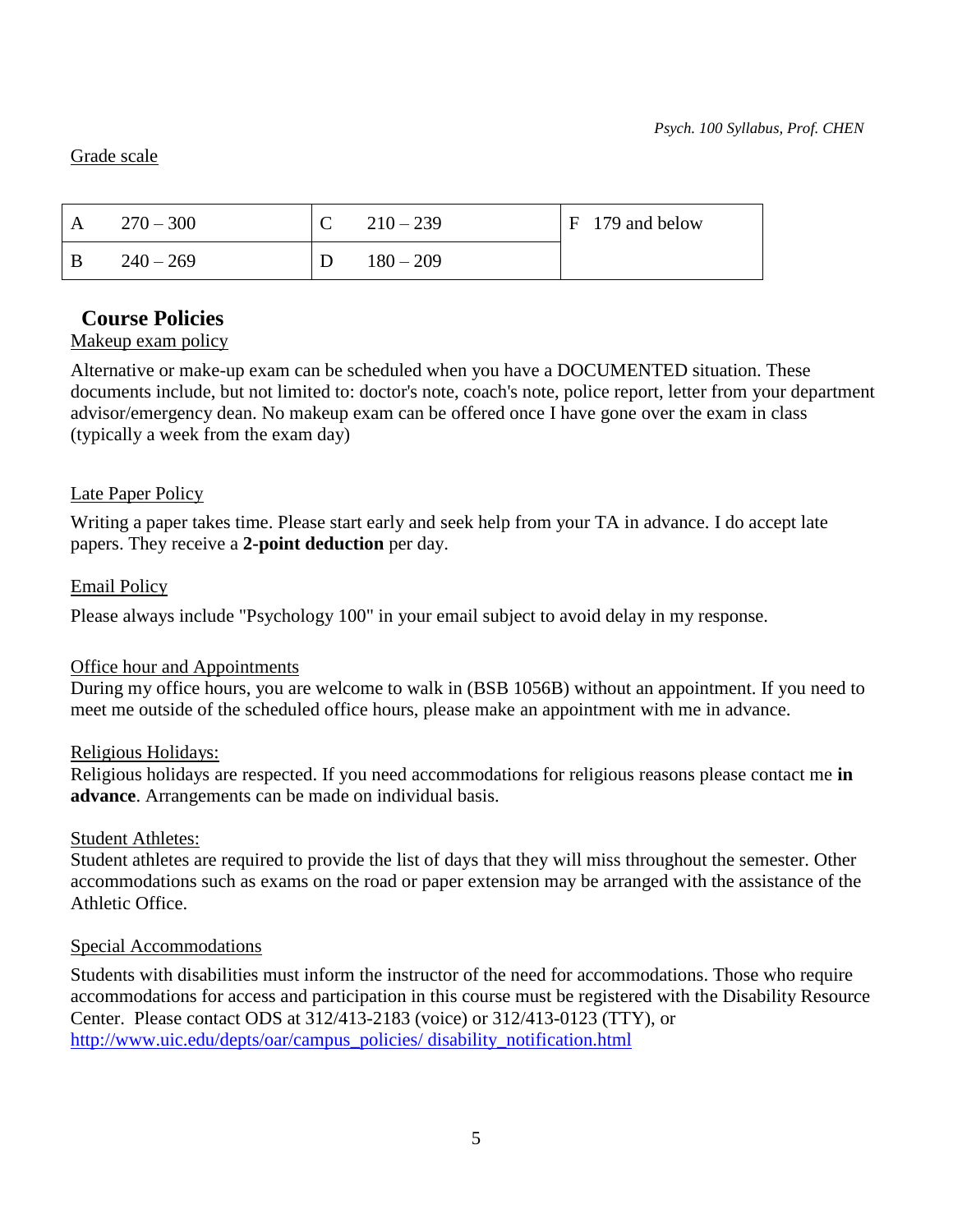### Grade scale

| $\mathbf{A}$ | $270 - 300$ | $210 - 239$ | $F$ 179 and below |
|--------------|-------------|-------------|-------------------|
| - B          | $240 - 269$ | $180 - 209$ |                   |

# **Course Policies**

# Makeup exam policy

Alternative or make-up exam can be scheduled when you have a DOCUMENTED situation. These documents include, but not limited to: doctor's note, coach's note, police report, letter from your department advisor/emergency dean. No makeup exam can be offered once I have gone over the exam in class (typically a week from the exam day)

# Late Paper Policy

Writing a paper takes time. Please start early and seek help from your TA in advance. I do accept late papers. They receive a **2-point deduction** per day.

# Email Policy

Please always include "Psychology 100" in your email subject to avoid delay in my response.

# Office hour and Appointments

During my office hours, you are welcome to walk in (BSB 1056B) without an appointment. If you need to meet me outside of the scheduled office hours, please make an appointment with me in advance.

# Religious Holidays:

Religious holidays are respected. If you need accommodations for religious reasons please contact me **in advance**. Arrangements can be made on individual basis.

# Student Athletes:

Student athletes are required to provide the list of days that they will miss throughout the semester. Other accommodations such as exams on the road or paper extension may be arranged with the assistance of the Athletic Office.

# Special Accommodations

Students with disabilities must inform the instructor of the need for accommodations. Those who require accommodations for access and participation in this course must be registered with the Disability Resource Center. Please contact ODS at 312/413-2183 (voice) or 312/413-0123 (TTY), or [http://www.uic.edu/depts/oar/campus\\_policies/ disability\\_notification.html](http://www.uic.edu/depts/oar/campus_policies/%20disability_notification.html)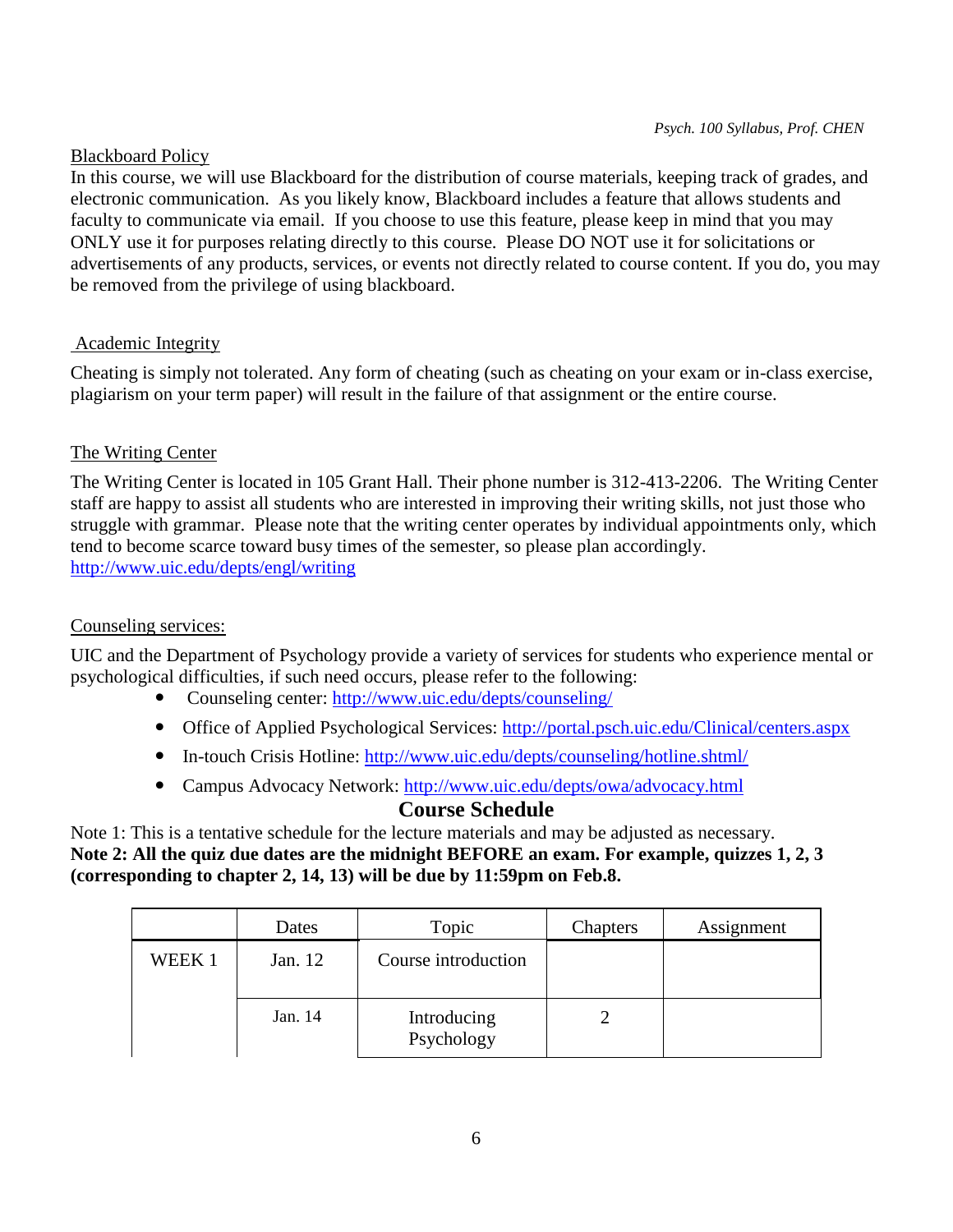#### Blackboard Policy

In this course, we will use Blackboard for the distribution of course materials, keeping track of grades, and electronic communication. As you likely know, Blackboard includes a feature that allows students and faculty to communicate via email. If you choose to use this feature, please keep in mind that you may ONLY use it for purposes relating directly to this course. Please DO NOT use it for solicitations or advertisements of any products, services, or events not directly related to course content. If you do, you may be removed from the privilege of using blackboard.

### Academic Integrity

Cheating is simply not tolerated. Any form of cheating (such as cheating on your exam or in-class exercise, plagiarism on your term paper) will result in the failure of that assignment or the entire course.

### The Writing Center

The Writing Center is located in 105 Grant Hall. Their phone number is 312-413-2206. The Writing Center staff are happy to assist all students who are interested in improving their writing skills, not just those who struggle with grammar. Please note that the writing center operates by individual appointments only, which tend to become scarce toward busy times of the semester, so please plan accordingly. <http://www.uic.edu/depts/engl/writing>

### Counseling services:

UIC and the Department of Psychology provide a variety of services for students who experience mental or psychological difficulties, if such need occurs, please refer to the following:

- Counseling center:<http://www.uic.edu/depts/counseling/>
- Office of Applied Psychological Services:<http://portal.psch.uic.edu/Clinical/centers.aspx>
- In-touch Crisis Hotline: http://www.uic.edu/depts/counseling/hotline.shtml
- Campus Advocacy Network:<http://www.uic.edu/depts/owa/advocacy.html>

# **Course Schedule**

Note 1: This is a tentative schedule for the lecture materials and may be adjusted as necessary. **Note 2: All the quiz due dates are the midnight BEFORE an exam. For example, quizzes 1, 2, 3 (corresponding to chapter 2, 14, 13) will be due by 11:59pm on Feb.8.** 

|        | Dates   | Topic                     | Chapters | Assignment |
|--------|---------|---------------------------|----------|------------|
| WEEK 1 | Jan. 12 | Course introduction       |          |            |
|        | Jan. 14 | Introducing<br>Psychology |          |            |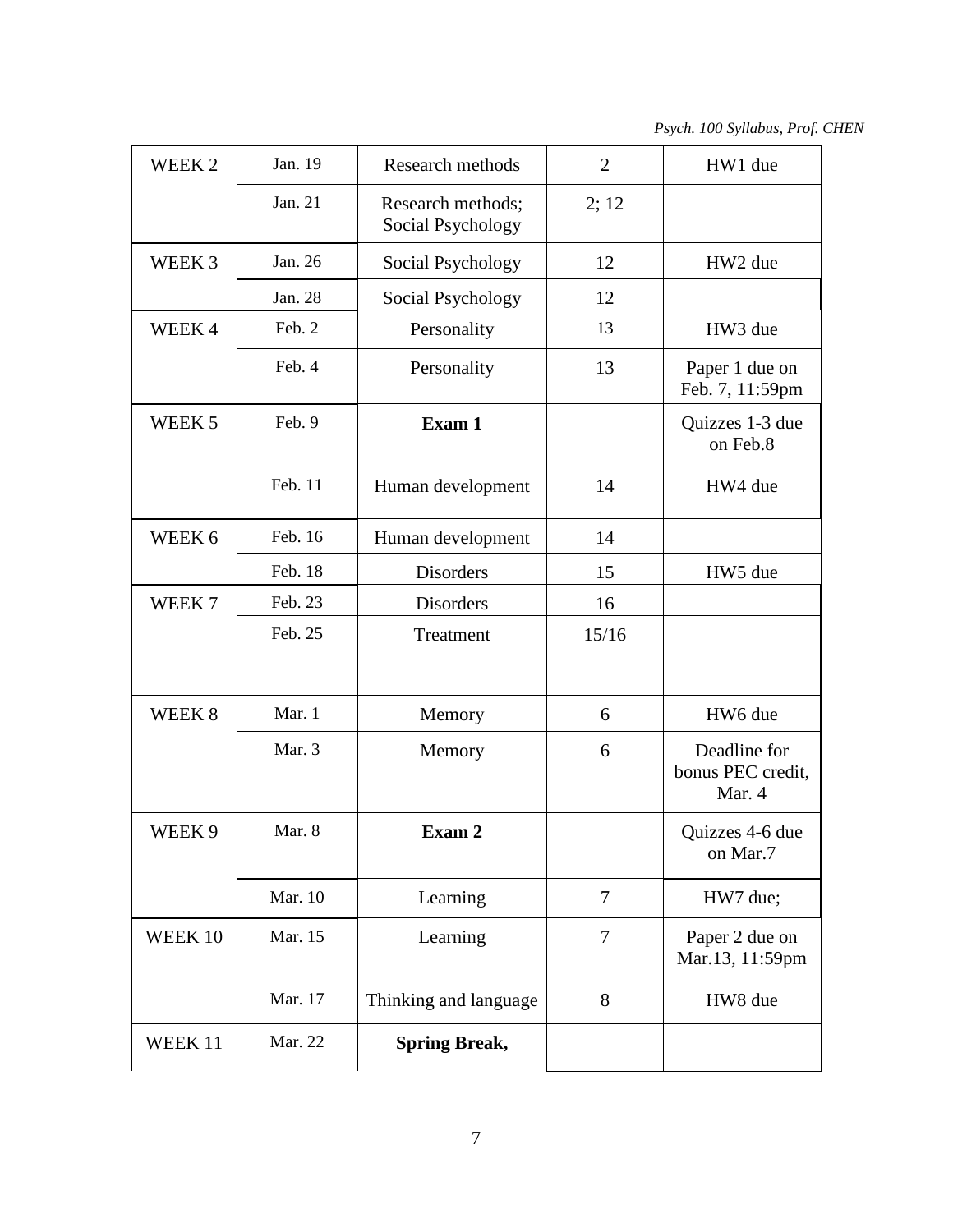*Psych. 100 Syllabus, Prof. CHEN*

| WEEK <sub>2</sub> | Jan. 19 | Research methods                       | $\overline{2}$ | HW1 due                                     |
|-------------------|---------|----------------------------------------|----------------|---------------------------------------------|
|                   | Jan. 21 | Research methods;<br>Social Psychology | 2; 12          |                                             |
| WEEK 3            | Jan. 26 | Social Psychology                      | 12             | HW2 due                                     |
|                   | Jan. 28 | Social Psychology                      | 12             |                                             |
| WEEK 4            | Feb. 2  | Personality                            | 13             | HW3 due                                     |
|                   | Feb. 4  | Personality                            | 13             | Paper 1 due on<br>Feb. 7, 11:59pm           |
| WEEK 5            | Feb. 9  | Exam 1                                 |                | Quizzes 1-3 due<br>on Feb.8                 |
|                   | Feb. 11 | Human development                      | 14             | HW4 due                                     |
| WEEK 6            | Feb. 16 | Human development                      | 14             |                                             |
|                   | Feb. 18 | Disorders                              | 15             | HW5 due                                     |
| WEEK <sub>7</sub> | Feb. 23 | Disorders                              | 16             |                                             |
|                   | Feb. 25 | Treatment                              | 15/16          |                                             |
| WEEK 8            | Mar. 1  | Memory                                 | 6              | HW6 due                                     |
|                   | Mar. 3  | Memory                                 | 6              | Deadline for<br>bonus PEC credit,<br>Mar. 4 |
| WEEK 9            | Mar. 8  | Exam 2                                 |                | Quizzes 4-6 due<br>on Mar.7                 |
|                   | Mar. 10 | Learning                               | 7              | HW7 due;                                    |
| WEEK 10           | Mar. 15 | Learning                               | 7              | Paper 2 due on<br>Mar.13, 11:59pm           |
|                   | Mar. 17 | Thinking and language                  | 8              | HW8 due                                     |
| WEEK 11           | Mar. 22 | <b>Spring Break,</b>                   |                |                                             |